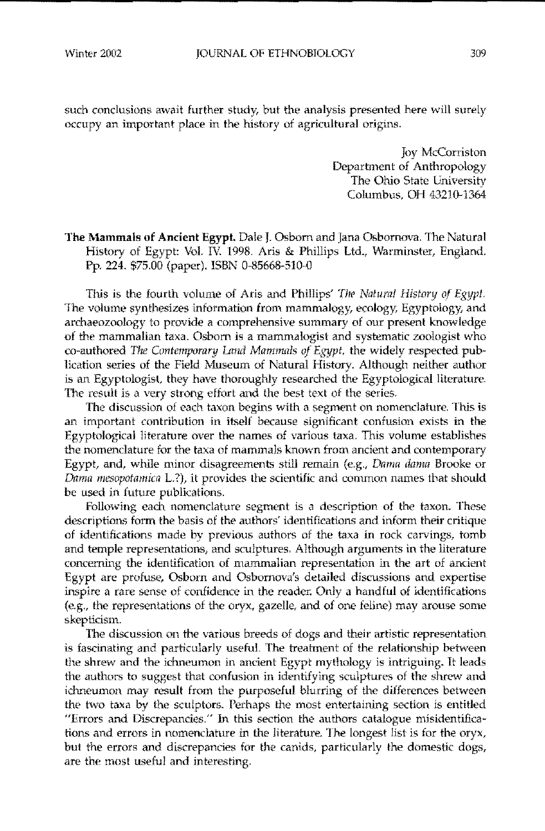such conclusions await further study, but the analysis presented here will surely occupy an important place in the history of agricultural origins.

> Joy McCorriston Department of Anthropology The Ohio State University Columbus, OH 43210-1364

The Mammals of Ancient Egypt. Dale J, Osborn and Jana Osbomova, The Natural History of Egypt: Vol. IV. 1998. Aris & Phillips Ltd., Warminster, England, Pp, 224, \$75,00 (paper), ISBN 0-85668-510-0

This is the fourth volume of Aris and Phillips' *The Natural History of Egypt.* The volume synthesizes information from mammalogy, ecology, Egyptology, and archaeozoology to provide a comprehensive summary of our present knowledge of the mammalian taxa, Osborn is a mamrnalogist and systematic zoologist who co-authored *The Contemporary Land Mammals of Egypt*, the widely respected publication series of the Field Museum of Natural History, Although neither author is an Egyptologist, they have thoroughly researched the Egyptological literature, The result is a very strong effort and the best text of the series.

The discussion of each taxon begins with a segment on nomenclature, This is an important contribution in **itself** because significant confusion exists in the Egyptological literature over the names of various taxa, This volume establishes the nomenclature for the taxa of mammals known from ancient and contemporary Egypt, and, while minor disagreements still remain (e.g., Dama dama Brooke or *Dama mesapotamica* L?), it provides the scientific and common names that should be used in future publications.

Following each nomenclature segment is a description of the taxon. These descriptions form the basis of the authors' identifications and inform their critique of identifications made by previous authors of the taxa in rock carvings, tomb and temple representations, and sculptures. Although arguments in the literature concerning the identification of mammalian representation in the art of ancient Egypt are profuse, Osborn and Osbornova's detailed discussions and expertise inspire a rare sense of confidence in the reader. Only a handful of identifications (e.g., the representations of the oryx, gazelle, and of one feline) may arouse some skepticism,

The discussion on the various breeds of dogs and their artistic representation is fascinating and particularly useful. The treatment of the relationship between the shrew and the ichneumon in ancient Egypt mythology is intriguing. It leads the authors to suggest that confusion in identifying sculptures of the shrew and ichneumon may result from the purposeful blurring of the differences between the two taxa by the sculptors. Perhaps the most entertaining section is entitled "Errors and Discrepancies," In this section the authors catalogue misidentifications and errors in nomenclature in the literature. The longest list is for the oryx, but the errors and discrepancies for the canids, particularly the domestic dogs, are the most useful and interesting,